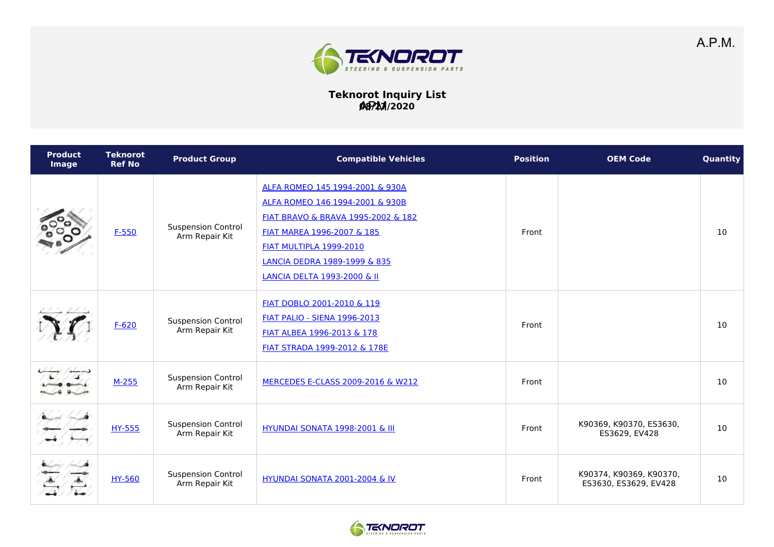

## **Teknorot Inquiry List 08/27/2020** APM

| <b>Product</b><br><b>Image</b> | <b>Teknorot</b><br><b>Ref No</b> | <b>Product Group</b>                        | <b>Compatible Vehicles</b>                                                                                                                                                                                                                                    | <b>Position</b> | <b>OEM Code</b>                                  | Quantity |
|--------------------------------|----------------------------------|---------------------------------------------|---------------------------------------------------------------------------------------------------------------------------------------------------------------------------------------------------------------------------------------------------------------|-----------------|--------------------------------------------------|----------|
|                                | $F-550$                          | <b>Suspension Control</b><br>Arm Repair Kit | ALFA ROMEO 145 1994-2001 & 930A<br>ALFA ROMEO 146 1994-2001 & 930B<br>FIAT BRAVO & BRAVA 1995-2002 & 182<br>FIAT MAREA 1996-2007 & 185<br><b>FIAT MULTIPLA 1999-2010</b><br><b>LANCIA DEDRA 1989-1999 &amp; 835</b><br><b>LANCIA DELTA 1993-2000 &amp; II</b> | Front           |                                                  | 10       |
|                                | $F - 620$                        | <b>Suspension Control</b><br>Arm Repair Kit | FIAT DOBLO 2001-2010 & 119<br><b>FIAT PALIO - SIENA 1996-2013</b><br>FIAT ALBEA 1996-2013 & 178<br>FIAT STRADA 1999-2012 & 178E                                                                                                                               | Front           |                                                  | 10       |
|                                | $M-255$                          | <b>Suspension Control</b><br>Arm Repair Kit | MERCEDES E-CLASS 2009-2016 & W212                                                                                                                                                                                                                             | Front           |                                                  | 10       |
|                                | HY-555                           | <b>Suspension Control</b><br>Arm Repair Kit | <b>HYUNDAI SONATA 1998-2001 &amp; III</b>                                                                                                                                                                                                                     | Front           | K90369, K90370, ES3630,<br>ES3629, EV428         | 10       |
|                                | <b>HY-560</b>                    | <b>Suspension Control</b><br>Arm Repair Kit | HYUNDAI SONATA 2001-2004 & IV                                                                                                                                                                                                                                 | Front           | K90374, K90369, K90370,<br>ES3630, ES3629, EV428 | 10       |

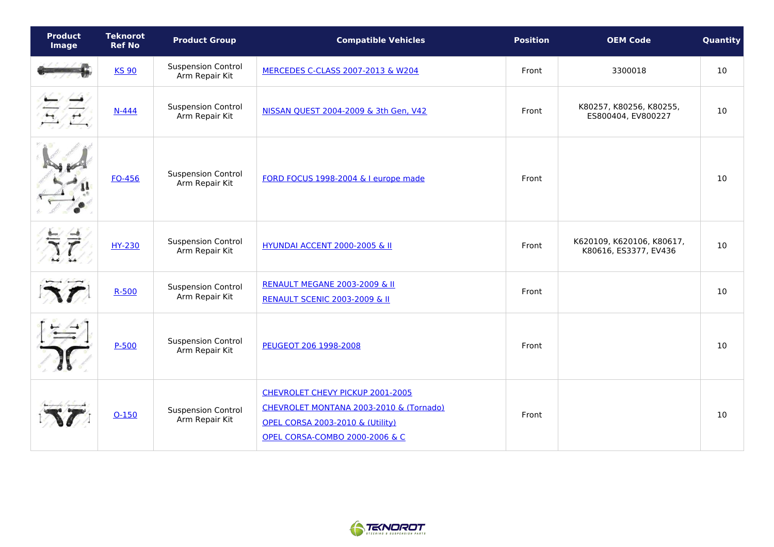| <b>Product</b><br>Image | <b>Teknorot</b><br><b>Ref No</b> | <b>Product Group</b>                        | <b>Compatible Vehicles</b>                                                                                                                                              | <b>Position</b> | <b>OEM Code</b>                                    | Quantity |
|-------------------------|----------------------------------|---------------------------------------------|-------------------------------------------------------------------------------------------------------------------------------------------------------------------------|-----------------|----------------------------------------------------|----------|
|                         | <b>KS 90</b>                     | <b>Suspension Control</b><br>Arm Repair Kit | MERCEDES C-CLASS 2007-2013 & W204                                                                                                                                       | Front           | 3300018                                            | 10       |
|                         | $N-444$                          | <b>Suspension Control</b><br>Arm Repair Kit | NISSAN QUEST 2004-2009 & 3th Gen, V42                                                                                                                                   | Front           | K80257, K80256, K80255,<br>ES800404, EV800227      | 10       |
|                         | FO-456                           | <b>Suspension Control</b><br>Arm Repair Kit | FORD FOCUS 1998-2004 & I europe made                                                                                                                                    | Front           |                                                    | 10       |
|                         | HY-230                           | <b>Suspension Control</b><br>Arm Repair Kit | <b>HYUNDAI ACCENT 2000-2005 &amp; II</b>                                                                                                                                | Front           | K620109, K620106, K80617,<br>K80616, ES3377, EV436 | 10       |
|                         | $R - 500$                        | <b>Suspension Control</b><br>Arm Repair Kit | <b>RENAULT MEGANE 2003-2009 &amp; II</b><br><b>RENAULT SCENIC 2003-2009 &amp; II</b>                                                                                    | Front           |                                                    | 10       |
|                         | $P-500$                          | <b>Suspension Control</b><br>Arm Repair Kit | PEUGEOT 206 1998-2008                                                                                                                                                   | Front           |                                                    | 10       |
|                         | $O-150$                          | <b>Suspension Control</b><br>Arm Repair Kit | CHEVROLET CHEVY PICKUP 2001-2005<br>CHEVROLET MONTANA 2003-2010 & (Tornado)<br><b>OPEL CORSA 2003-2010 &amp; (Utility)</b><br><b>OPEL CORSA-COMBO 2000-2006 &amp; C</b> | Front           |                                                    | 10       |

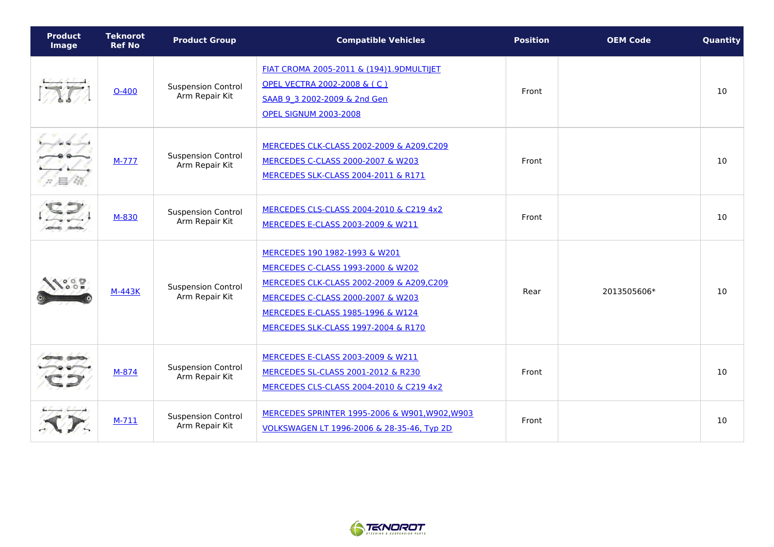| <b>Product</b><br>Image | <b>Teknorot</b><br><b>Ref No</b> | <b>Product Group</b>                        | <b>Compatible Vehicles</b>                                                                                                                                                                                                                 | <b>Position</b> | <b>OEM Code</b> | Quantity |
|-------------------------|----------------------------------|---------------------------------------------|--------------------------------------------------------------------------------------------------------------------------------------------------------------------------------------------------------------------------------------------|-----------------|-----------------|----------|
|                         | $O-400$                          | <b>Suspension Control</b><br>Arm Repair Kit | FIAT CROMA 2005-2011 & (194)1.9DMULTIJET<br>OPEL VECTRA 2002-2008 & (C)<br>SAAB 9 3 2002-2009 & 2nd Gen<br><b>OPEL SIGNUM 2003-2008</b>                                                                                                    | Front           |                 | 10       |
|                         | $M-777$                          | <b>Suspension Control</b><br>Arm Repair Kit | MERCEDES CLK-CLASS 2002-2009 & A209,C209<br>MERCEDES C-CLASS 2000-2007 & W203<br>MERCEDES SLK-CLASS 2004-2011 & R171                                                                                                                       | Front           |                 | 10       |
|                         | M-830                            | <b>Suspension Control</b><br>Arm Repair Kit | MERCEDES CLS-CLASS 2004-2010 & C219 4x2<br>MERCEDES E-CLASS 2003-2009 & W211                                                                                                                                                               | Front           |                 | 10       |
|                         | <b>M-443K</b>                    | <b>Suspension Control</b><br>Arm Repair Kit | MERCEDES 190 1982-1993 & W201<br>MERCEDES C-CLASS 1993-2000 & W202<br>MERCEDES CLK-CLASS 2002-2009 & A209,C209<br>MERCEDES C-CLASS 2000-2007 & W203<br><b>MERCEDES E-CLASS 1985-1996 &amp; W124</b><br>MERCEDES SLK-CLASS 1997-2004 & R170 | Rear            | 2013505606*     | 10       |
|                         | M-874                            | <b>Suspension Control</b><br>Arm Repair Kit | MERCEDES E-CLASS 2003-2009 & W211<br>MERCEDES SL-CLASS 2001-2012 & R230<br>MERCEDES CLS-CLASS 2004-2010 & C219 4x2                                                                                                                         | Front           |                 | 10       |
|                         | $M-711$                          | <b>Suspension Control</b><br>Arm Repair Kit | MERCEDES SPRINTER 1995-2006 & W901, W902, W903<br>VOLKSWAGEN LT 1996-2006 & 28-35-46, Typ 2D                                                                                                                                               | Front           |                 | 10       |

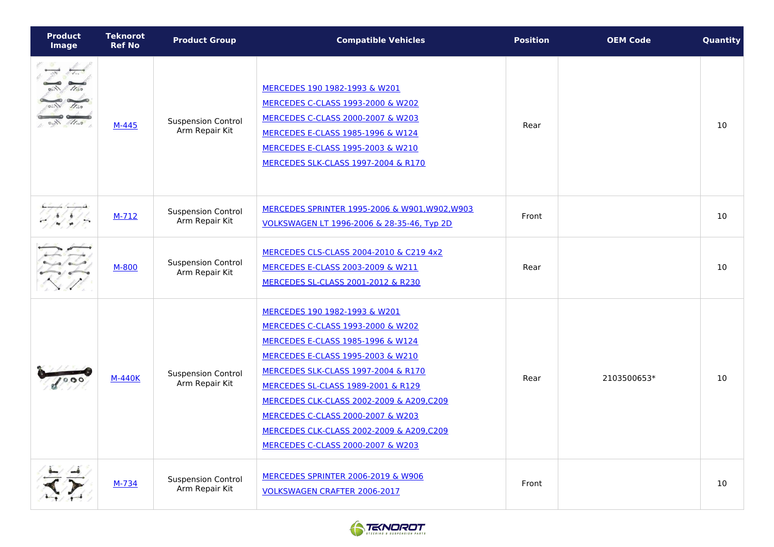| <b>Product</b><br><b>Image</b> | <b>Teknorot</b><br><b>Ref No</b> | <b>Product Group</b>                        | <b>Compatible Vehicles</b>                                                                                                                                                                                                                                                                                                                                                                                        | <b>Position</b> | <b>OEM Code</b> | Quantity |
|--------------------------------|----------------------------------|---------------------------------------------|-------------------------------------------------------------------------------------------------------------------------------------------------------------------------------------------------------------------------------------------------------------------------------------------------------------------------------------------------------------------------------------------------------------------|-----------------|-----------------|----------|
| 11.50                          | M-445                            | <b>Suspension Control</b><br>Arm Repair Kit | MERCEDES 190 1982-1993 & W201<br>MERCEDES C-CLASS 1993-2000 & W202<br>MERCEDES C-CLASS 2000-2007 & W203<br>MERCEDES E-CLASS 1985-1996 & W124<br>MERCEDES E-CLASS 1995-2003 & W210<br>MERCEDES SLK-CLASS 1997-2004 & R170                                                                                                                                                                                          | Rear            |                 | 10       |
|                                | $M-712$                          | <b>Suspension Control</b><br>Arm Repair Kit | MERCEDES SPRINTER 1995-2006 & W901, W902, W903<br>VOLKSWAGEN LT 1996-2006 & 28-35-46, Typ 2D                                                                                                                                                                                                                                                                                                                      | Front           |                 | 10       |
|                                | M-800                            | <b>Suspension Control</b><br>Arm Repair Kit | MERCEDES CLS-CLASS 2004-2010 & C219 4x2<br>MERCEDES E-CLASS 2003-2009 & W211<br>MERCEDES SL-CLASS 2001-2012 & R230                                                                                                                                                                                                                                                                                                | Rear            |                 | 10       |
|                                | <b>M-440K</b>                    | <b>Suspension Control</b><br>Arm Repair Kit | MERCEDES 190 1982-1993 & W201<br>MERCEDES C-CLASS 1993-2000 & W202<br><b>MERCEDES E-CLASS 1985-1996 &amp; W124</b><br>MERCEDES E-CLASS 1995-2003 & W210<br><b>MERCEDES SLK-CLASS 1997-2004 &amp; R170</b><br>MERCEDES SL-CLASS 1989-2001 & R129<br>MERCEDES CLK-CLASS 2002-2009 & A209,C209<br>MERCEDES C-CLASS 2000-2007 & W203<br>MERCEDES CLK-CLASS 2002-2009 & A209,C209<br>MERCEDES C-CLASS 2000-2007 & W203 | Rear            | 2103500653*     | 10       |
|                                | M-734                            | <b>Suspension Control</b><br>Arm Repair Kit | <b>MERCEDES SPRINTER 2006-2019 &amp; W906</b><br><b>VOLKSWAGEN CRAFTER 2006-2017</b>                                                                                                                                                                                                                                                                                                                              | Front           |                 | 10       |

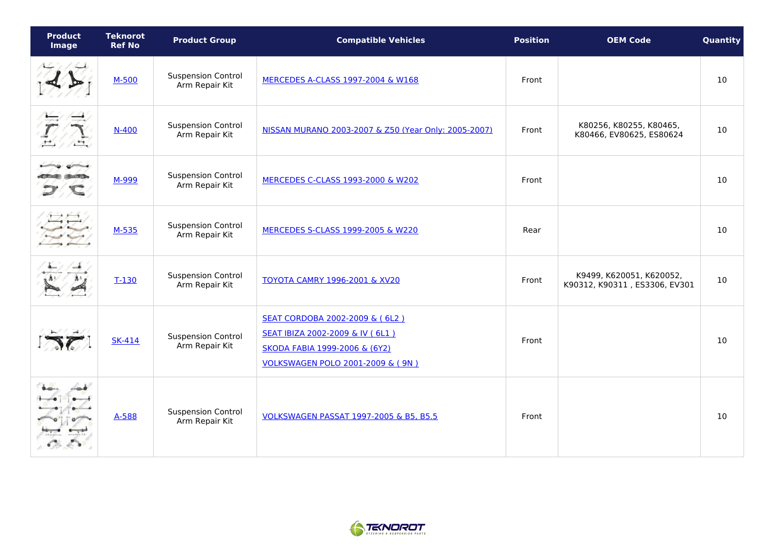| <b>Product</b><br>Image                                        | <b>Teknorot</b><br><b>Ref No</b> | <b>Product Group</b>                        | <b>Compatible Vehicles</b>                                                                                                               | <b>Position</b> | <b>OEM Code</b>                                           | Quantity |
|----------------------------------------------------------------|----------------------------------|---------------------------------------------|------------------------------------------------------------------------------------------------------------------------------------------|-----------------|-----------------------------------------------------------|----------|
|                                                                | $M-500$                          | <b>Suspension Control</b><br>Arm Repair Kit | MERCEDES A-CLASS 1997-2004 & W168                                                                                                        | Front           |                                                           | 10       |
|                                                                | $N-400$                          | <b>Suspension Control</b><br>Arm Repair Kit | NISSAN MURANO 2003-2007 & Z50 (Year Only: 2005-2007)                                                                                     | Front           | K80256, K80255, K80465,<br>K80466, EV80625, ES80624       | 10       |
| $0 = 0$                                                        | M-999                            | <b>Suspension Control</b><br>Arm Repair Kit | MERCEDES C-CLASS 1993-2000 & W202                                                                                                        | Front           |                                                           | 10       |
| $\rightarrow$ $\rightarrow$ $\rightarrow$<br>$\leftrightarrow$ | $M-535$                          | <b>Suspension Control</b><br>Arm Repair Kit | MERCEDES S-CLASS 1999-2005 & W220                                                                                                        | Rear            |                                                           | 10       |
|                                                                | $T-130$                          | <b>Suspension Control</b><br>Arm Repair Kit | <b>TOYOTA CAMRY 1996-2001 &amp; XV20</b>                                                                                                 | Front           | K9499, K620051, K620052,<br>K90312, K90311, ES3306, EV301 | 10       |
|                                                                | <b>SK-414</b>                    | <b>Suspension Control</b><br>Arm Repair Kit | SEAT CORDOBA 2002-2009 & (6L2)<br>SEAT IBIZA 2002-2009 & IV (6L1)<br>SKODA FABIA 1999-2006 & (6Y2)<br>VOLKSWAGEN POLO 2001-2009 & ( 9N ) | Front           |                                                           | 10       |
|                                                                | A-588                            | <b>Suspension Control</b><br>Arm Repair Kit | VOLKSWAGEN PASSAT 1997-2005 & B5, B5.5                                                                                                   | Front           |                                                           | 10       |

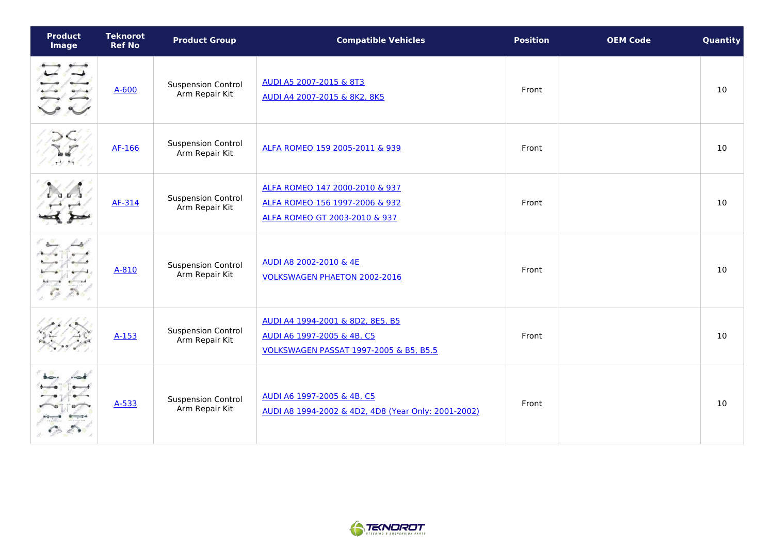| <b>Product</b><br>Image | <b>Teknorot</b><br><b>Ref No</b> | <b>Product Group</b>                        | <b>Compatible Vehicles</b>                                                                               | <b>Position</b> | <b>OEM Code</b> | Quantity |
|-------------------------|----------------------------------|---------------------------------------------|----------------------------------------------------------------------------------------------------------|-----------------|-----------------|----------|
|                         | $A - 600$                        | <b>Suspension Control</b><br>Arm Repair Kit | AUDI A5 2007-2015 & 8T3<br>AUDI A4 2007-2015 & 8K2, 8K5                                                  | Front           |                 | 10       |
| H/H                     | AF-166                           | <b>Suspension Control</b><br>Arm Repair Kit | ALFA ROMEO 159 2005-2011 & 939                                                                           | Front           |                 | 10       |
|                         | AF-314                           | <b>Suspension Control</b><br>Arm Repair Kit | ALFA ROMEO 147 2000-2010 & 937<br>ALFA ROMEO 156 1997-2006 & 932<br>ALFA ROMEO GT 2003-2010 & 937        | Front           |                 | 10       |
|                         | A-810                            | <b>Suspension Control</b><br>Arm Repair Kit | AUDI A8 2002-2010 & 4E<br><b>VOLKSWAGEN PHAETON 2002-2016</b>                                            | Front           |                 | 10       |
|                         | $A-153$                          | <b>Suspension Control</b><br>Arm Repair Kit | AUDI A4 1994-2001 & 8D2, 8E5, B5<br>AUDI A6 1997-2005 & 4B, C5<br>VOLKSWAGEN PASSAT 1997-2005 & B5, B5.5 | Front           |                 | 10       |
|                         | $A-533$                          | <b>Suspension Control</b><br>Arm Repair Kit | AUDI A6 1997-2005 & 4B, C5<br>AUDI A8 1994-2002 & 4D2, 4D8 (Year Only: 2001-2002)                        | Front           |                 | 10       |

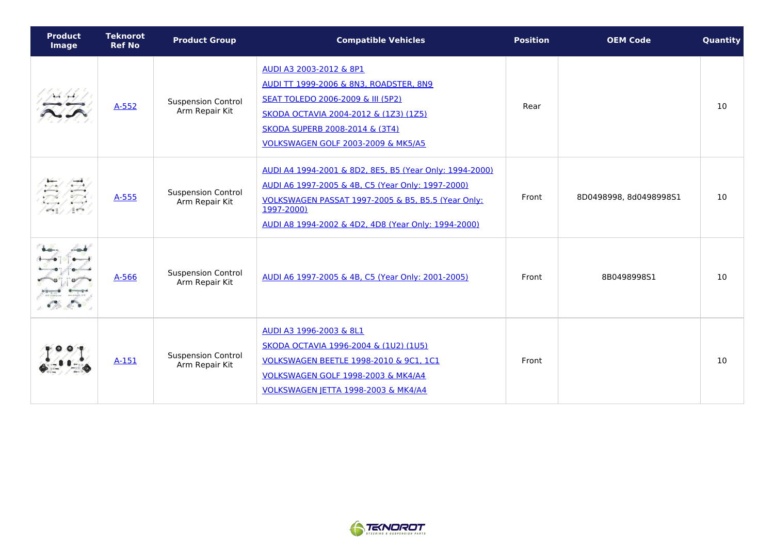| <b>Product</b><br><b>Image</b> | <b>Teknorot</b><br><b>Ref No</b> | <b>Product Group</b>                        | <b>Compatible Vehicles</b>                                                                                                                                                                                                              | <b>Position</b> | <b>OEM Code</b>        | Quantity |
|--------------------------------|----------------------------------|---------------------------------------------|-----------------------------------------------------------------------------------------------------------------------------------------------------------------------------------------------------------------------------------------|-----------------|------------------------|----------|
|                                | $A-552$                          | <b>Suspension Control</b><br>Arm Repair Kit | AUDI A3 2003-2012 & 8P1<br>AUDI TT 1999-2006 & 8N3, ROADSTER, 8N9<br><b>SEAT TOLEDO 2006-2009 &amp; III (5P2)</b><br>SKODA OCTAVIA 2004-2012 & (1Z3) (1Z5)<br>SKODA SUPERB 2008-2014 & (3T4)<br>VOLKSWAGEN GOLF 2003-2009 & MK5/A5      | Rear            |                        | 10       |
|                                | $A - 555$                        | <b>Suspension Control</b><br>Arm Repair Kit | AUDI A4 1994-2001 & 8D2, 8E5, B5 (Year Only: 1994-2000)<br>AUDI A6 1997-2005 & 4B, C5 (Year Only: 1997-2000)<br>VOLKSWAGEN PASSAT 1997-2005 & B5, B5.5 (Year Only:<br>1997-2000)<br>AUDI A8 1994-2002 & 4D2, 4D8 (Year Only: 1994-2000) | Front           | 8D0498998, 8d0498998S1 | 10       |
|                                | $A-566$                          | <b>Suspension Control</b><br>Arm Repair Kit | AUDI A6 1997-2005 & 4B, C5 (Year Only: 2001-2005)                                                                                                                                                                                       | Front           | 8B0498998S1            | 10       |
|                                | $A-151$                          | <b>Suspension Control</b><br>Arm Repair Kit | AUDI A3 1996-2003 & 8L1<br>SKODA OCTAVIA 1996-2004 & (1U2) (1U5)<br>VOLKSWAGEN BEETLE 1998-2010 & 9C1, 1C1<br>VOLKSWAGEN GOLF 1998-2003 & MK4/A4<br>VOLKSWAGEN JETTA 1998-2003 & MK4/A4                                                 | Front           |                        | 10       |

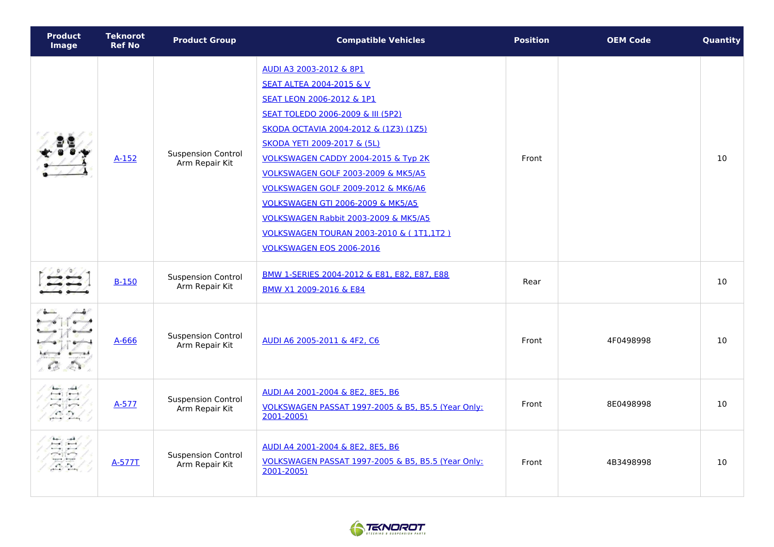| <b>Product</b><br><b>Image</b>                                                                                                                                                                                                                                                                                                                                                                                                                  | <b>Teknorot</b><br><b>Ref No</b> | <b>Product Group</b>                        | <b>Compatible Vehicles</b>                                                                                                                                                                                                                                                                                                                                                                                                                                                                        | <b>Position</b> | <b>OEM Code</b> | Quantity |
|-------------------------------------------------------------------------------------------------------------------------------------------------------------------------------------------------------------------------------------------------------------------------------------------------------------------------------------------------------------------------------------------------------------------------------------------------|----------------------------------|---------------------------------------------|---------------------------------------------------------------------------------------------------------------------------------------------------------------------------------------------------------------------------------------------------------------------------------------------------------------------------------------------------------------------------------------------------------------------------------------------------------------------------------------------------|-----------------|-----------------|----------|
|                                                                                                                                                                                                                                                                                                                                                                                                                                                 | $A-152$                          | <b>Suspension Control</b><br>Arm Repair Kit | AUDI A3 2003-2012 & 8P1<br><b>SEAT ALTEA 2004-2015 &amp; V</b><br>SEAT LEON 2006-2012 & 1P1<br>SEAT TOLEDO 2006-2009 & III (5P2)<br>SKODA OCTAVIA 2004-2012 & (1Z3) (1Z5)<br>SKODA YETI 2009-2017 & (5L)<br>VOLKSWAGEN CADDY 2004-2015 & Typ 2K<br>VOLKSWAGEN GOLF 2003-2009 & MK5/A5<br>VOLKSWAGEN GOLF 2009-2012 & MK6/A6<br><b>VOLKSWAGEN GTI 2006-2009 &amp; MK5/A5</b><br>VOLKSWAGEN Rabbit 2003-2009 & MK5/A5<br>VOLKSWAGEN TOURAN 2003-2010 & (1T1,1T2)<br><b>VOLKSWAGEN EOS 2006-2016</b> | Front           |                 | 10       |
|                                                                                                                                                                                                                                                                                                                                                                                                                                                 | <b>B-150</b>                     | <b>Suspension Control</b><br>Arm Repair Kit | BMW 1-SERIES 2004-2012 & E81, E82, E87, E88<br>BMW X1 2009-2016 & E84                                                                                                                                                                                                                                                                                                                                                                                                                             | Rear            |                 | 10       |
|                                                                                                                                                                                                                                                                                                                                                                                                                                                 | $A - 666$                        | <b>Suspension Control</b><br>Arm Repair Kit | AUDI A6 2005-2011 & 4F2, C6                                                                                                                                                                                                                                                                                                                                                                                                                                                                       | Front           | 4F0498998       | 10       |
| $-1$<br>$-$<br>$-$<br><u>  E 2  </u>                                                                                                                                                                                                                                                                                                                                                                                                            | $A-577$                          | <b>Suspension Control</b><br>Arm Repair Kit | AUDI A4 2001-2004 & 8E2, 8E5, B6<br>VOLKSWAGEN PASSAT 1997-2005 & B5, B5.5 (Year Only:<br>2001-2005)                                                                                                                                                                                                                                                                                                                                                                                              | Front           | 8E0498998       | 10       |
| $\overline{\phantom{a}}$<br>مرتوزون<br>$\frac{1}{2} \frac{1}{2} \frac{1}{2} \frac{1}{2} \frac{1}{2} \frac{1}{2} \frac{1}{2} \frac{1}{2} \frac{1}{2} \frac{1}{2} \frac{1}{2} \frac{1}{2} \frac{1}{2} \frac{1}{2} \frac{1}{2} \frac{1}{2} \frac{1}{2} \frac{1}{2} \frac{1}{2} \frac{1}{2} \frac{1}{2} \frac{1}{2} \frac{1}{2} \frac{1}{2} \frac{1}{2} \frac{1}{2} \frac{1}{2} \frac{1}{2} \frac{1}{2} \frac{1}{2} \frac{1}{2} \frac{$<br>$\infty$ | A-577T                           | <b>Suspension Control</b><br>Arm Repair Kit | AUDI A4 2001-2004 & 8E2, 8E5, B6<br>VOLKSWAGEN PASSAT 1997-2005 & B5, B5.5 (Year Only:<br>2001-2005)                                                                                                                                                                                                                                                                                                                                                                                              | Front           | 4B3498998       | 10       |

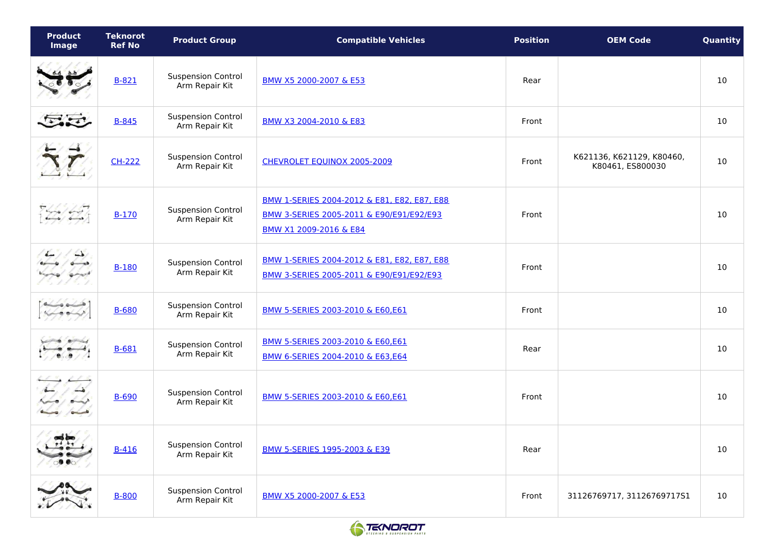| <b>Product</b><br>Image | <b>Teknorot</b><br><b>Ref No</b> | <b>Product Group</b>                        | <b>Compatible Vehicles</b>                                                                                        | <b>Position</b> | <b>OEM Code</b>                               | Quantity |
|-------------------------|----------------------------------|---------------------------------------------|-------------------------------------------------------------------------------------------------------------------|-----------------|-----------------------------------------------|----------|
|                         | $B-821$                          | <b>Suspension Control</b><br>Arm Repair Kit | BMW X5 2000-2007 & E53                                                                                            | Rear            |                                               | 10       |
| $\Xi$                   | $B - 845$                        | <b>Suspension Control</b><br>Arm Repair Kit | BMW X3 2004-2010 & E83                                                                                            | Front           |                                               | 10       |
|                         | <b>CH-222</b>                    | <b>Suspension Control</b><br>Arm Repair Kit | CHEVROLET EQUINOX 2005-2009                                                                                       | Front           | K621136, K621129, K80460,<br>K80461, ES800030 | 10       |
| فيسوء المهيدة           | $B-170$                          | <b>Suspension Control</b><br>Arm Repair Kit | BMW 1-SERIES 2004-2012 & E81, E82, E87, E88<br>BMW 3-SERIES 2005-2011 & E90/E91/E92/E93<br>BMW X1 2009-2016 & E84 | Front           |                                               | 10       |
| $\rightarrow$           | <b>B-180</b>                     | <b>Suspension Control</b><br>Arm Repair Kit | BMW 1-SERIES 2004-2012 & E81, E82, E87, E88<br>BMW 3-SERIES 2005-2011 & E90/E91/E92/E93                           | Front           |                                               | 10       |
|                         | B-680                            | <b>Suspension Control</b><br>Arm Repair Kit | BMW 5-SERIES 2003-2010 & E60,E61                                                                                  | Front           |                                               | 10       |
|                         | $B-681$                          | <b>Suspension Control</b><br>Arm Repair Kit | BMW 5-SERIES 2003-2010 & E60,E61<br>BMW 6-SERIES 2004-2010 & E63,E64                                              | Rear            |                                               | 10       |
|                         | $B-690$                          | <b>Suspension Control</b><br>Arm Repair Kit | BMW 5-SERIES 2003-2010 & E60,E61                                                                                  | Front           |                                               | 10       |
| $\rightarrow$           | $B-416$                          | <b>Suspension Control</b><br>Arm Repair Kit | BMW 5-SERIES 1995-2003 & E39                                                                                      | Rear            |                                               | 10       |
|                         | <b>B-800</b>                     | <b>Suspension Control</b><br>Arm Repair Kit | BMW X5 2000-2007 & E53                                                                                            | Front           | 31126769717, 31126769717S1                    | 10       |

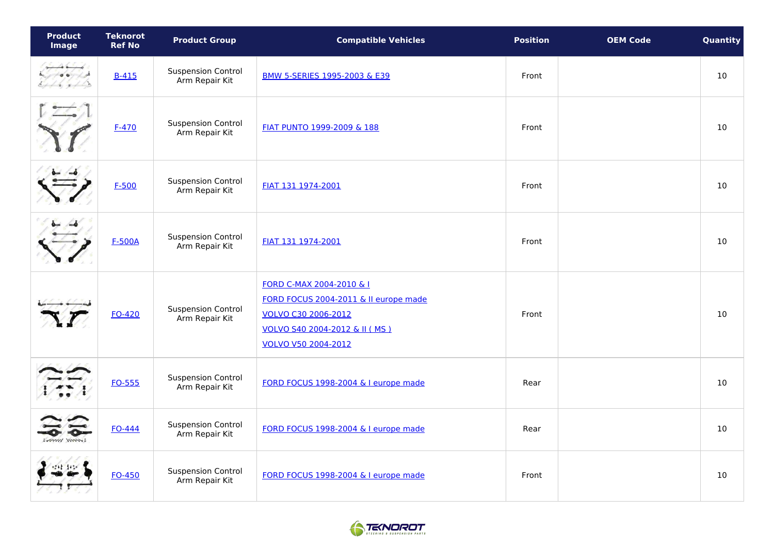| <b>Product</b><br><b>Image</b>           | <b>Teknorot</b><br><b>Ref No</b> | <b>Product Group</b>                        | <b>Compatible Vehicles</b>                                                                                                                       | <b>Position</b> | <b>OEM Code</b> | Quantity |
|------------------------------------------|----------------------------------|---------------------------------------------|--------------------------------------------------------------------------------------------------------------------------------------------------|-----------------|-----------------|----------|
| $-46 - 6$<br>$\rightarrow$<br>6.46, 7.40 | $B-415$                          | <b>Suspension Control</b><br>Arm Repair Kit | BMW 5-SERIES 1995-2003 & E39                                                                                                                     | Front           |                 | 10       |
|                                          | $F-470$                          | <b>Suspension Control</b><br>Arm Repair Kit | FIAT PUNTO 1999-2009 & 188                                                                                                                       | Front           |                 | $10$     |
|                                          | $F-500$                          | <b>Suspension Control</b><br>Arm Repair Kit | FIAT 131 1974-2001                                                                                                                               | Front           |                 | $10$     |
|                                          | <b>F-500A</b>                    | <b>Suspension Control</b><br>Arm Repair Kit | FIAT 131 1974-2001                                                                                                                               | Front           |                 | 10       |
|                                          | FO-420                           | <b>Suspension Control</b><br>Arm Repair Kit | FORD C-MAX 2004-2010 & I<br>FORD FOCUS 2004-2011 & Il europe made<br>VOLVO C30 2006-2012<br>VOLVO S40 2004-2012 & II (MS)<br>VOLVO V50 2004-2012 | Front           |                 | 10       |
|                                          | FO-555                           | <b>Suspension Control</b><br>Arm Repair Kit | FORD FOCUS 1998-2004 & I europe made                                                                                                             | Rear            |                 | 10       |
| VIIII WWW.                               | <b>FO-444</b>                    | <b>Suspension Control</b><br>Arm Repair Kit | FORD FOCUS 1998-2004 & I europe made                                                                                                             | Rear            |                 | 10       |
|                                          | FO-450                           | <b>Suspension Control</b><br>Arm Repair Kit | FORD FOCUS 1998-2004 & I europe made                                                                                                             | Front           |                 | 10       |

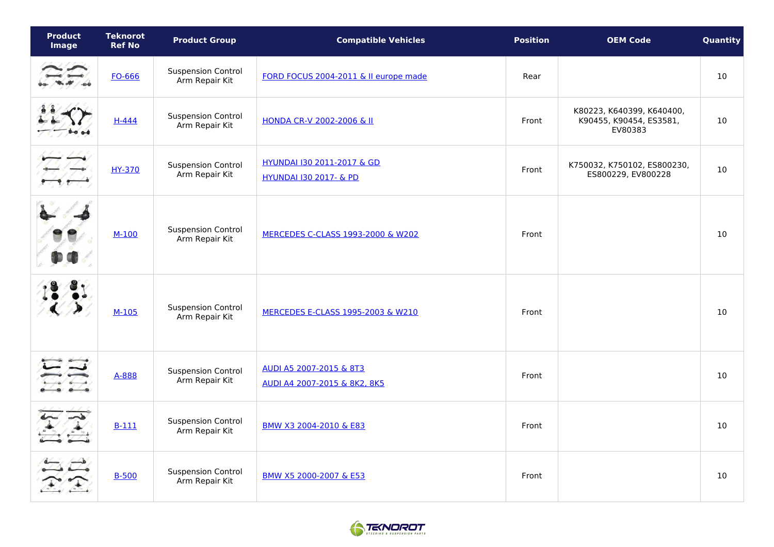| <b>Product</b><br><b>Image</b> | <b>Teknorot</b><br><b>Ref No</b> | <b>Product Group</b>                        | <b>Compatible Vehicles</b>                                      | <b>Position</b> | <b>OEM Code</b>                                                 | Quantity |
|--------------------------------|----------------------------------|---------------------------------------------|-----------------------------------------------------------------|-----------------|-----------------------------------------------------------------|----------|
|                                | FO-666                           | <b>Suspension Control</b><br>Arm Repair Kit | FORD FOCUS 2004-2011 & Il europe made                           | Rear            |                                                                 | 10       |
|                                | $H-444$                          | <b>Suspension Control</b><br>Arm Repair Kit | HONDA CR-V 2002-2006 & II                                       | Front           | K80223, K640399, K640400,<br>K90455, K90454, ES3581,<br>EV80383 | 10       |
|                                | HY-370                           | <b>Suspension Control</b><br>Arm Repair Kit | HYUNDAI 130 2011-2017 & GD<br><b>HYUNDAI 130 2017- &amp; PD</b> | Front           | K750032, K750102, ES800230,<br>ES800229, EV800228               | 10       |
|                                | $M-100$                          | <b>Suspension Control</b><br>Arm Repair Kit | MERCEDES C-CLASS 1993-2000 & W202                               | Front           |                                                                 | 10       |
|                                | $M-105$                          | <b>Suspension Control</b><br>Arm Repair Kit | MERCEDES E-CLASS 1995-2003 & W210                               | Front           |                                                                 | 10       |
|                                | A-888                            | <b>Suspension Control</b><br>Arm Repair Kit | AUDI A5 2007-2015 & 8T3<br>AUDI A4 2007-2015 & 8K2, 8K5         | Front           |                                                                 | 10       |
|                                | $B-111$                          | <b>Suspension Control</b><br>Arm Repair Kit | BMW X3 2004-2010 & E83                                          | Front           |                                                                 | 10       |
|                                | $B-500$                          | <b>Suspension Control</b><br>Arm Repair Kit | BMW X5 2000-2007 & E53                                          | Front           |                                                                 | 10       |

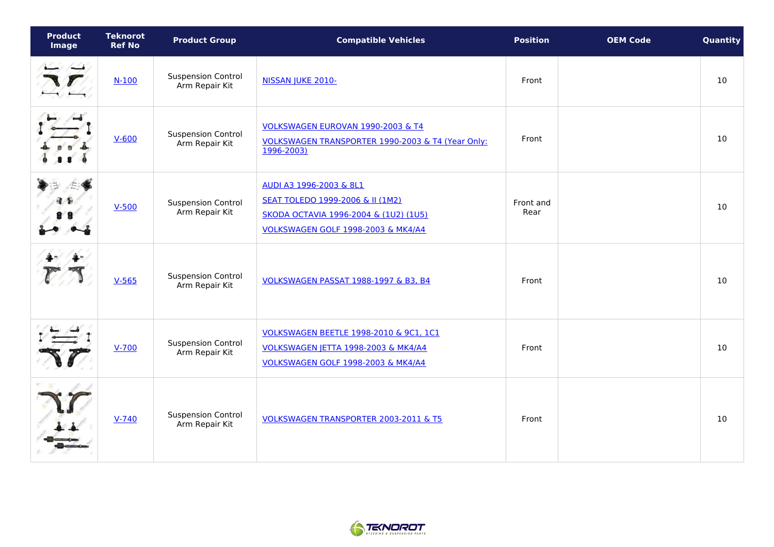| <b>Product</b><br>Image | <b>Teknorot</b><br><b>Ref No</b> | <b>Product Group</b>                        | <b>Compatible Vehicles</b>                                                                                                                 | <b>Position</b>   | <b>OEM Code</b> | Quantity |
|-------------------------|----------------------------------|---------------------------------------------|--------------------------------------------------------------------------------------------------------------------------------------------|-------------------|-----------------|----------|
|                         | $N-100$                          | <b>Suspension Control</b><br>Arm Repair Kit | NISSAN JUKE 2010-                                                                                                                          | Front             |                 | 10       |
|                         | $V-600$                          | <b>Suspension Control</b><br>Arm Repair Kit | VOLKSWAGEN EUROVAN 1990-2003 & T4<br>VOLKSWAGEN TRANSPORTER 1990-2003 & T4 (Year Only:<br>1996-2003)                                       | Front             |                 | 10       |
|                         | $V-500$                          | <b>Suspension Control</b><br>Arm Repair Kit | AUDI A3 1996-2003 & 8L1<br>SEAT TOLEDO 1999-2006 & II (1M2)<br>SKODA OCTAVIA 1996-2004 & (1U2) (1U5)<br>VOLKSWAGEN GOLF 1998-2003 & MK4/A4 | Front and<br>Rear |                 | 10       |
|                         | $V-565$                          | <b>Suspension Control</b><br>Arm Repair Kit | VOLKSWAGEN PASSAT 1988-1997 & B3, B4                                                                                                       | Front             |                 | 10       |
|                         | $V - 700$                        | <b>Suspension Control</b><br>Arm Repair Kit | VOLKSWAGEN BEETLE 1998-2010 & 9C1, 1C1<br>VOLKSWAGEN JETTA 1998-2003 & MK4/A4<br>VOLKSWAGEN GOLF 1998-2003 & MK4/A4                        | Front             |                 | 10       |
|                         | $V - 740$                        | <b>Suspension Control</b><br>Arm Repair Kit | VOLKSWAGEN TRANSPORTER 2003-2011 & T5                                                                                                      | Front             |                 | 10       |